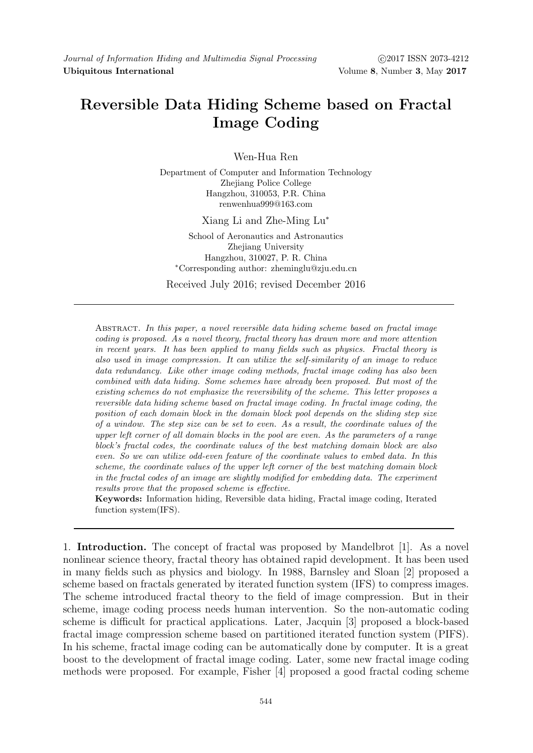## Reversible Data Hiding Scheme based on Fractal Image Coding

Wen-Hua Ren

Department of Computer and Information Technology Zhejiang Police College Hangzhou, 310053, P.R. China renwenhua999@163.com

Xiang Li and Zhe-Ming Lu<sup>∗</sup>

School of Aeronautics and Astronautics Zhejiang University Hangzhou, 310027, P. R. China <sup>∗</sup>Corresponding author: zheminglu@zju.edu.cn

Received July 2016; revised December 2016

ABSTRACT. In this paper, a novel reversible data hiding scheme based on fractal image coding is proposed. As a novel theory, fractal theory has drawn more and more attention in recent years. It has been applied to many fields such as physics. Fractal theory is also used in image compression. It can utilize the self-similarity of an image to reduce data redundancy. Like other image coding methods, fractal image coding has also been combined with data hiding. Some schemes have already been proposed. But most of the existing schemes do not emphasize the reversibility of the scheme. This letter proposes a reversible data hiding scheme based on fractal image coding. In fractal image coding, the position of each domain block in the domain block pool depends on the sliding step size of a window. The step size can be set to even. As a result, the coordinate values of the upper left corner of all domain blocks in the pool are even. As the parameters of a range block's fractal codes, the coordinate values of the best matching domain block are also even. So we can utilize odd-even feature of the coordinate values to embed data. In this scheme, the coordinate values of the upper left corner of the best matching domain block in the fractal codes of an image are slightly modified for embedding data. The experiment results prove that the proposed scheme is effective.

Keywords: Information hiding, Reversible data hiding, Fractal image coding, Iterated function system(IFS).

1. Introduction. The concept of fractal was proposed by Mandelbrot [1]. As a novel nonlinear science theory, fractal theory has obtained rapid development. It has been used in many fields such as physics and biology. In 1988, Barnsley and Sloan [2] proposed a scheme based on fractals generated by iterated function system (IFS) to compress images. The scheme introduced fractal theory to the field of image compression. But in their scheme, image coding process needs human intervention. So the non-automatic coding scheme is difficult for practical applications. Later, Jacquin [3] proposed a block-based fractal image compression scheme based on partitioned iterated function system (PIFS). In his scheme, fractal image coding can be automatically done by computer. It is a great boost to the development of fractal image coding. Later, some new fractal image coding methods were proposed. For example, Fisher [4] proposed a good fractal coding scheme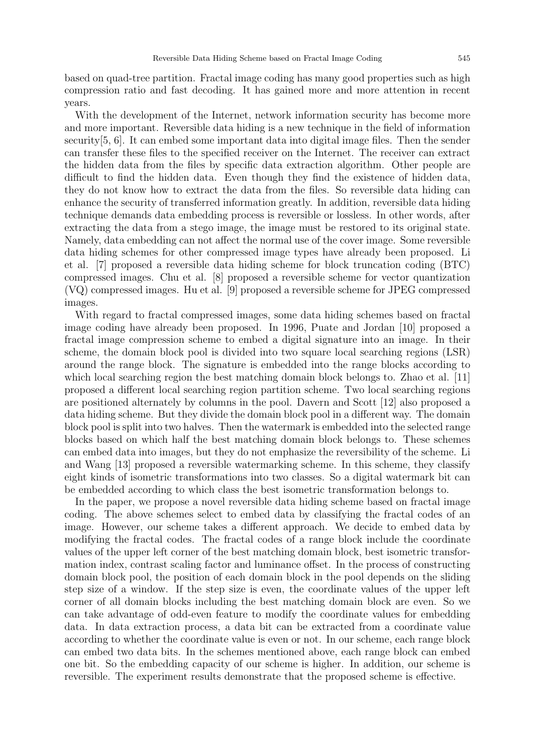based on quad-tree partition. Fractal image coding has many good properties such as high compression ratio and fast decoding. It has gained more and more attention in recent years.

With the development of the Internet, network information security has become more and more important. Reversible data hiding is a new technique in the field of information security[5, 6]. It can embed some important data into digital image files. Then the sender can transfer these files to the specified receiver on the Internet. The receiver can extract the hidden data from the files by specific data extraction algorithm. Other people are difficult to find the hidden data. Even though they find the existence of hidden data, they do not know how to extract the data from the files. So reversible data hiding can enhance the security of transferred information greatly. In addition, reversible data hiding technique demands data embedding process is reversible or lossless. In other words, after extracting the data from a stego image, the image must be restored to its original state. Namely, data embedding can not affect the normal use of the cover image. Some reversible data hiding schemes for other compressed image types have already been proposed. Li et al. [7] proposed a reversible data hiding scheme for block truncation coding (BTC) compressed images. Chu et al. [8] proposed a reversible scheme for vector quantization (VQ) compressed images. Hu et al. [9] proposed a reversible scheme for JPEG compressed images.

With regard to fractal compressed images, some data hiding schemes based on fractal image coding have already been proposed. In 1996, Puate and Jordan [10] proposed a fractal image compression scheme to embed a digital signature into an image. In their scheme, the domain block pool is divided into two square local searching regions (LSR) around the range block. The signature is embedded into the range blocks according to which local searching region the best matching domain block belongs to. Zhao et al. [11] proposed a different local searching region partition scheme. Two local searching regions are positioned alternately by columns in the pool. Davern and Scott [12] also proposed a data hiding scheme. But they divide the domain block pool in a different way. The domain block pool is split into two halves. Then the watermark is embedded into the selected range blocks based on which half the best matching domain block belongs to. These schemes can embed data into images, but they do not emphasize the reversibility of the scheme. Li and Wang [13] proposed a reversible watermarking scheme. In this scheme, they classify eight kinds of isometric transformations into two classes. So a digital watermark bit can be embedded according to which class the best isometric transformation belongs to.

In the paper, we propose a novel reversible data hiding scheme based on fractal image coding. The above schemes select to embed data by classifying the fractal codes of an image. However, our scheme takes a different approach. We decide to embed data by modifying the fractal codes. The fractal codes of a range block include the coordinate values of the upper left corner of the best matching domain block, best isometric transformation index, contrast scaling factor and luminance offset. In the process of constructing domain block pool, the position of each domain block in the pool depends on the sliding step size of a window. If the step size is even, the coordinate values of the upper left corner of all domain blocks including the best matching domain block are even. So we can take advantage of odd-even feature to modify the coordinate values for embedding data. In data extraction process, a data bit can be extracted from a coordinate value according to whether the coordinate value is even or not. In our scheme, each range block can embed two data bits. In the schemes mentioned above, each range block can embed one bit. So the embedding capacity of our scheme is higher. In addition, our scheme is reversible. The experiment results demonstrate that the proposed scheme is effective.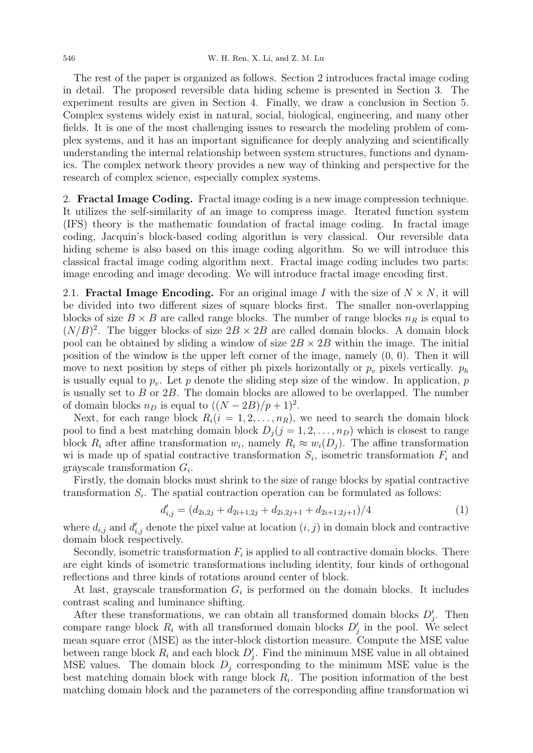The rest of the paper is organized as follows. Section 2 introduces fractal image coding in detail. The proposed reversible data hiding scheme is presented in Section 3. The experiment results are given in Section 4. Finally, we draw a conclusion in Section 5. Complex systems widely exist in natural, social, biological, engineering, and many other fields. It is one of the most challenging issues to research the modeling problem of complex systems, and it has an important significance for deeply analyzing and scientifically understanding the internal relationship between system structures, functions and dynamics. The complex network theory provides a new way of thinking and perspective for the research of complex science, especially complex systems.

2. Fractal Image Coding. Fractal image coding is a new image compression technique. It utilizes the self-similarity of an image to compress image. Iterated function system (IFS) theory is the mathematic foundation of fractal image coding. In fractal image coding, Jacquin's block-based coding algorithm is very classical. Our reversible data hiding scheme is also based on this image coding algorithm. So we will introduce this classical fractal image coding algorithm next. Fractal image coding includes two parts: image encoding and image decoding. We will introduce fractal image encoding first.

2.1. **Fractal Image Encoding.** For an original image I with the size of  $N \times N$ , it will be divided into two different sizes of square blocks first. The smaller non-overlapping blocks of size  $B \times B$  are called range blocks. The number of range blocks  $n<sub>R</sub>$  is equal to  $(N/B)^2$ . The bigger blocks of size  $2B \times 2B$  are called domain blocks. A domain block pool can be obtained by sliding a window of size  $2B \times 2B$  within the image. The initial position of the window is the upper left corner of the image, namely (0, 0). Then it will move to next position by steps of either ph pixels horizontally or  $p_v$  pixels vertically.  $p_h$ is usually equal to  $p_v$ . Let p denote the sliding step size of the window. In application, p is usually set to  $B$  or  $2B$ . The domain blocks are allowed to be overlapped. The number of domain blocks  $n_D$  is equal to  $((N - 2B)/p + 1)^2$ .

Next, for each range block  $R_i(i = 1, 2, \ldots, n_R)$ , we need to search the domain block pool to find a best matching domain block  $D_j$  ( $j = 1, 2, ..., n_D$ ) which is closest to range block  $R_i$  after affine transformation  $w_i$ , namely  $R_i \approx w_i(D_j)$ . The affine transformation wi is made up of spatial contractive transformation  $S_i$ , isometric transformation  $F_i$  and grayscale transformation  $G_i$ .

Firstly, the domain blocks must shrink to the size of range blocks by spatial contractive transformation  $S_i$ . The spatial contraction operation can be formulated as follows:

$$
d'_{i,j} = (d_{2i,2j} + d_{2i+1,2j} + d_{2i,2j+1} + d_{2i+1,2j+1})/4
$$
\n(1)

where  $d_{i,j}$  and  $d'_{i,j}$  denote the pixel value at location  $(i, j)$  in domain block and contractive domain block respectively.

Secondly, isometric transformation  $F_i$  is applied to all contractive domain blocks. There are eight kinds of isometric transformations including identity, four kinds of orthogonal reflections and three kinds of rotations around center of block.

At last, grayscale transformation  $G_i$  is performed on the domain blocks. It includes contrast scaling and luminance shifting.

After these transformations, we can obtain all transformed domain blocks  $D'_j$ . Then compare range block  $R_i$  with all transformed domain blocks  $D'_j$  in the pool. We select mean square error (MSE) as the inter-block distortion measure. Compute the MSE value between range block  $R_i$  and each block  $D'_j$ . Find the minimum MSE value in all obtained MSE values. The domain block  $D_i$  corresponding to the minimum MSE value is the best matching domain block with range block  $R_i$ . The position information of the best matching domain block and the parameters of the corresponding affine transformation wi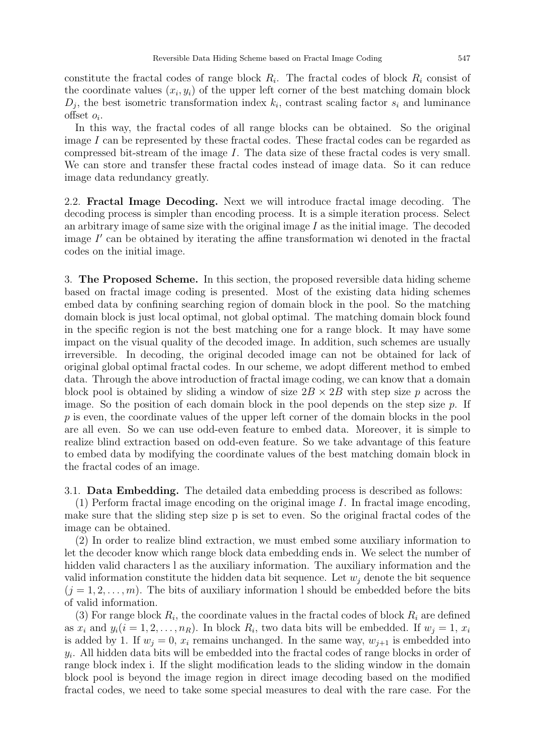constitute the fractal codes of range block  $R_i$ . The fractal codes of block  $R_i$  consist of the coordinate values  $(x_i, y_i)$  of the upper left corner of the best matching domain block  $D_j$ , the best isometric transformation index  $k_i$ , contrast scaling factor  $s_i$  and luminance  $offset$   $o_i$ .

In this way, the fractal codes of all range blocks can be obtained. So the original image I can be represented by these fractal codes. These fractal codes can be regarded as compressed bit-stream of the image I. The data size of these fractal codes is very small. We can store and transfer these fractal codes instead of image data. So it can reduce image data redundancy greatly.

2.2. Fractal Image Decoding. Next we will introduce fractal image decoding. The decoding process is simpler than encoding process. It is a simple iteration process. Select an arbitrary image of same size with the original image  $I$  as the initial image. The decoded image  $I'$  can be obtained by iterating the affine transformation wi denoted in the fractal codes on the initial image.

3. The Proposed Scheme. In this section, the proposed reversible data hiding scheme based on fractal image coding is presented. Most of the existing data hiding schemes embed data by confining searching region of domain block in the pool. So the matching domain block is just local optimal, not global optimal. The matching domain block found in the specific region is not the best matching one for a range block. It may have some impact on the visual quality of the decoded image. In addition, such schemes are usually irreversible. In decoding, the original decoded image can not be obtained for lack of original global optimal fractal codes. In our scheme, we adopt different method to embed data. Through the above introduction of fractal image coding, we can know that a domain block pool is obtained by sliding a window of size  $2B \times 2B$  with step size p across the image. So the position of each domain block in the pool depends on the step size  $p$ . If p is even, the coordinate values of the upper left corner of the domain blocks in the pool are all even. So we can use odd-even feature to embed data. Moreover, it is simple to realize blind extraction based on odd-even feature. So we take advantage of this feature to embed data by modifying the coordinate values of the best matching domain block in the fractal codes of an image.

3.1. Data Embedding. The detailed data embedding process is described as follows:

 $(1)$  Perform fractal image encoding on the original image I. In fractal image encoding, make sure that the sliding step size p is set to even. So the original fractal codes of the image can be obtained.

(2) In order to realize blind extraction, we must embed some auxiliary information to let the decoder know which range block data embedding ends in. We select the number of hidden valid characters l as the auxiliary information. The auxiliary information and the valid information constitute the hidden data bit sequence. Let  $w_i$  denote the bit sequence  $(j = 1, 2, \ldots, m)$ . The bits of auxiliary information l should be embedded before the bits of valid information.

(3) For range block  $R_i$ , the coordinate values in the fractal codes of block  $R_i$  are defined as  $x_i$  and  $y_i (i = 1, 2, \ldots, n_R)$ . In block  $R_i$ , two data bits will be embedded. If  $w_j = 1, x_i$ is added by 1. If  $w_i = 0$ ,  $x_i$  remains unchanged. In the same way,  $w_{i+1}$  is embedded into  $y_i$ . All hidden data bits will be embedded into the fractal codes of range blocks in order of range block index i. If the slight modification leads to the sliding window in the domain block pool is beyond the image region in direct image decoding based on the modified fractal codes, we need to take some special measures to deal with the rare case. For the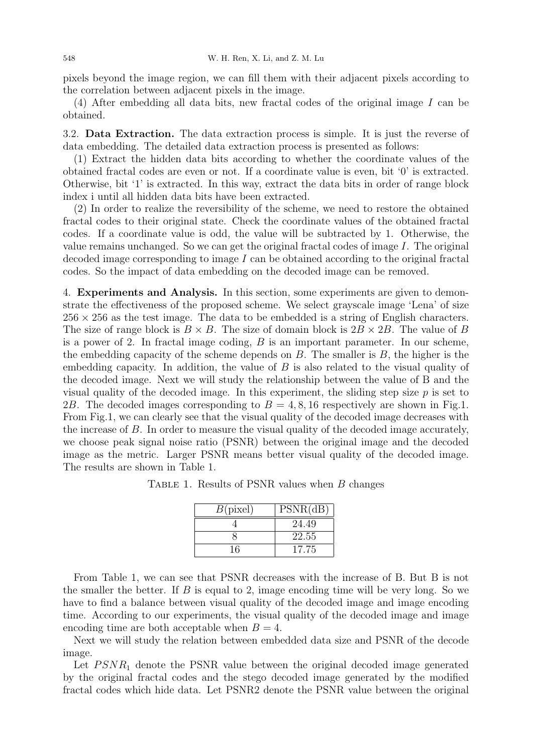pixels beyond the image region, we can fill them with their adjacent pixels according to the correlation between adjacent pixels in the image.

(4) After embedding all data bits, new fractal codes of the original image I can be obtained.

3.2. Data Extraction. The data extraction process is simple. It is just the reverse of data embedding. The detailed data extraction process is presented as follows:

(1) Extract the hidden data bits according to whether the coordinate values of the obtained fractal codes are even or not. If a coordinate value is even, bit '0' is extracted. Otherwise, bit '1' is extracted. In this way, extract the data bits in order of range block index i until all hidden data bits have been extracted.

(2) In order to realize the reversibility of the scheme, we need to restore the obtained fractal codes to their original state. Check the coordinate values of the obtained fractal codes. If a coordinate value is odd, the value will be subtracted by 1. Otherwise, the value remains unchanged. So we can get the original fractal codes of image I. The original decoded image corresponding to image I can be obtained according to the original fractal codes. So the impact of data embedding on the decoded image can be removed.

4. Experiments and Analysis. In this section, some experiments are given to demonstrate the effectiveness of the proposed scheme. We select grayscale image 'Lena' of size  $256 \times 256$  as the test image. The data to be embedded is a string of English characters. The size of range block is  $B \times B$ . The size of domain block is  $2B \times 2B$ . The value of B is a power of 2. In fractal image coding, B is an important parameter. In our scheme, the embedding capacity of the scheme depends on  $B$ . The smaller is  $B$ , the higher is the embedding capacity. In addition, the value of  $B$  is also related to the visual quality of the decoded image. Next we will study the relationship between the value of B and the visual quality of the decoded image. In this experiment, the sliding step size  $p$  is set to 2B. The decoded images corresponding to  $B = 4, 8, 16$  respectively are shown in Fig.1. From Fig.1, we can clearly see that the visual quality of the decoded image decreases with the increase of B. In order to measure the visual quality of the decoded image accurately, we choose peak signal noise ratio (PSNR) between the original image and the decoded image as the metric. Larger PSNR means better visual quality of the decoded image. The results are shown in Table 1.

Table 1. Results of PSNR values when B changes

| B(pixel) | PSNR(dB) |
|----------|----------|
|          | 24.49    |
|          | 22.55    |
| 16       | 17.75    |

From Table 1, we can see that PSNR decreases with the increase of B. But B is not the smaller the better. If  $B$  is equal to 2, image encoding time will be very long. So we have to find a balance between visual quality of the decoded image and image encoding time. According to our experiments, the visual quality of the decoded image and image encoding time are both acceptable when  $B = 4$ .

Next we will study the relation between embedded data size and PSNR of the decode image.

Let  $PSNR_1$  denote the PSNR value between the original decoded image generated by the original fractal codes and the stego decoded image generated by the modified fractal codes which hide data. Let PSNR2 denote the PSNR value between the original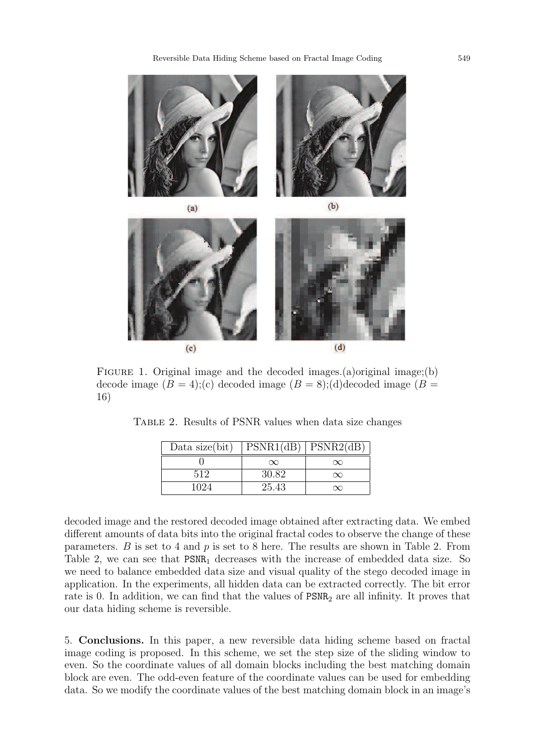Reversible Data Hiding Scheme based on Fractal Image Coding 549



FIGURE 1. Original image and the decoded images.(a)original image;(b) decode image  $(B = 4);$  (c) decoded image  $(B = 8);$  (d) decoded image  $(B = 4);$ 16)

TABLE 2. Results of PSNR values when data size changes

| Data size(bit) | PSNR1(dB) PSNR2(dB) |          |
|----------------|---------------------|----------|
|                | $\infty$            | $\infty$ |
| 512            | 30.82               | $\infty$ |
| 1024           | 25.43               | $\infty$ |

decoded image and the restored decoded image obtained after extracting data. We embed different amounts of data bits into the original fractal codes to observe the change of these parameters. B is set to 4 and  $p$  is set to 8 here. The results are shown in Table 2. From Table 2, we can see that  $PSNR_1$  decreases with the increase of embedded data size. So we need to balance embedded data size and visual quality of the stego decoded image in application. In the experiments, all hidden data can be extracted correctly. The bit error rate is 0. In addition, we can find that the values of  $PSNR<sub>2</sub>$  are all infinity. It proves that our data hiding scheme is reversible.

5. Conclusions. In this paper, a new reversible data hiding scheme based on fractal image coding is proposed. In this scheme, we set the step size of the sliding window to even. So the coordinate values of all domain blocks including the best matching domain block are even. The odd-even feature of the coordinate values can be used for embedding data. So we modify the coordinate values of the best matching domain block in an image's